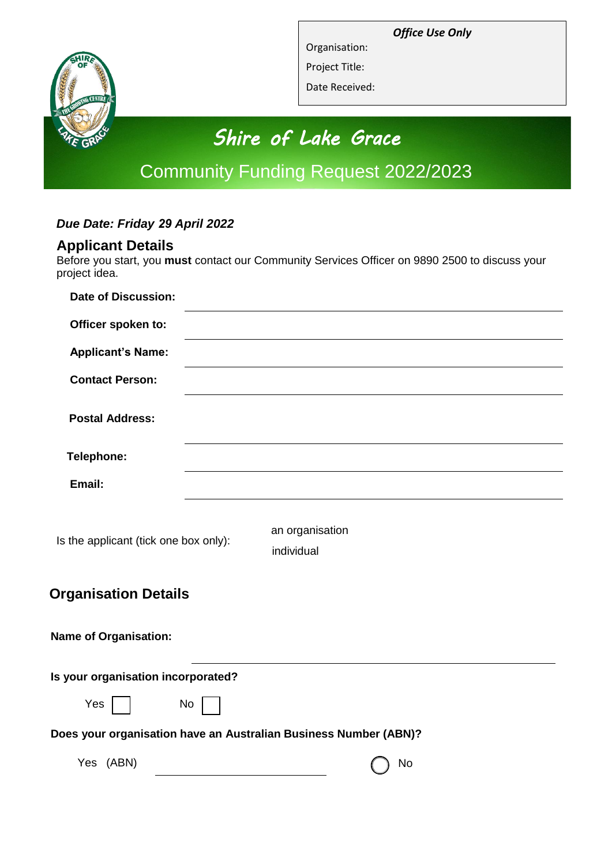*Office Use Only*



Organisation: Project Title:

Date Received:

# *Shire of Lake Grace*

## Community Funding Request 2022/2023

## *Due Date: Friday 29 April 2022*

## **Applicant Details**

Before you start, you **must** contact our Community Services Officer on 9890 2500 to discuss your project idea.

| <b>Date of Discussion:</b>                                       |                               |  |
|------------------------------------------------------------------|-------------------------------|--|
| Officer spoken to:                                               |                               |  |
| <b>Applicant's Name:</b>                                         |                               |  |
| <b>Contact Person:</b>                                           |                               |  |
| <b>Postal Address:</b>                                           |                               |  |
| Telephone:                                                       |                               |  |
| Email:                                                           |                               |  |
| Is the applicant (tick one box only):                            | an organisation<br>individual |  |
| <b>Organisation Details</b>                                      |                               |  |
| <b>Name of Organisation:</b>                                     |                               |  |
| Is your organisation incorporated?                               |                               |  |
| Yes<br>No                                                        |                               |  |
| Does your organisation have an Australian Business Number (ABN)? |                               |  |

 $Yes$  (ABN)  $\bigcap$  No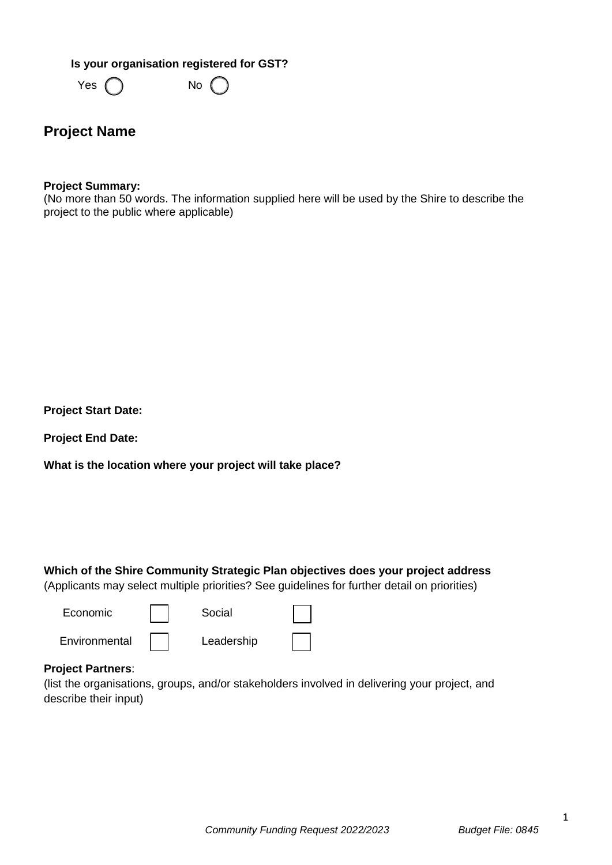**Is your organisation registered for GST?**

 $Yes \bigcap$  No

## **Project Name**

#### **Project Summary:**

(No more than 50 words. The information supplied here will be used by the Shire to describe the project to the public where applicable)

**Project Start Date:**

**Project End Date:**

**What is the location where your project will take place?**

**Which of the Shire Community Strategic Plan objectives does your project address**  (Applicants may select multiple priorities? See guidelines for further detail on priorities)

| Economic      | Social     |  |
|---------------|------------|--|
| Environmental | Leadership |  |

#### **Project Partners**:

(list the organisations, groups, and/or stakeholders involved in delivering your project, and describe their input)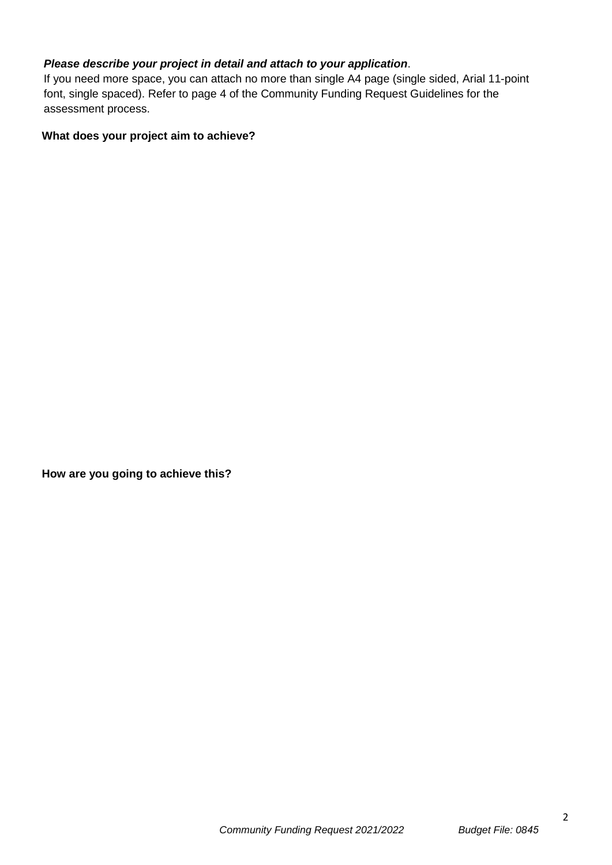#### *Please describe your project in detail and attach to your application*.

If you need more space, you can attach no more than single A4 page (single sided, Arial 11-point font, single spaced). Refer to page 4 of the Community Funding Request Guidelines for the assessment process.

#### **What does your project aim to achieve?**

**How are you going to achieve this?**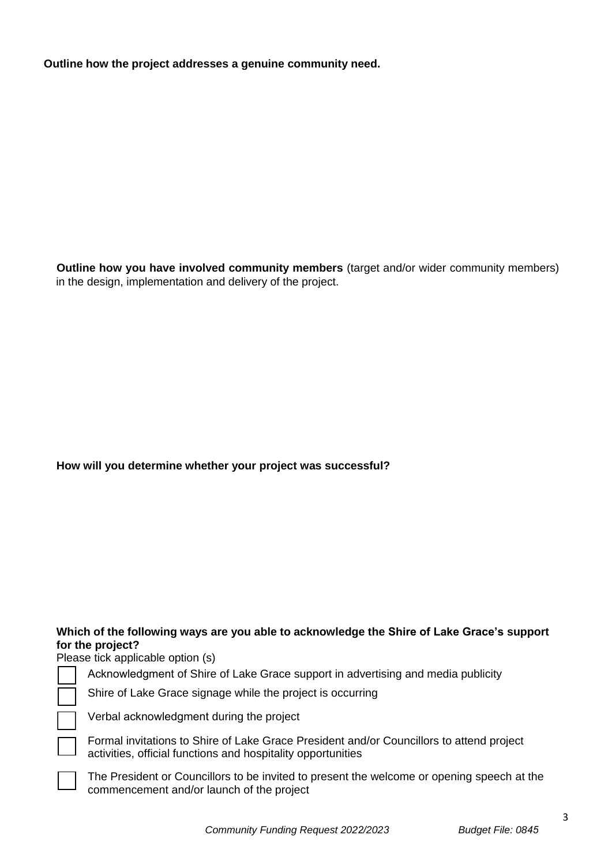**Outline how the project addresses a genuine community need.**

**Outline how you have involved community members** (target and/or wider community members) in the design, implementation and delivery of the project.

#### **How will you determine whether your project was successful?**

#### **Which of the following ways are you able to acknowledge the Shire of Lake Grace's support for the project?**

Please tick applicable option (s)

Acknowledgment of Shire of Lake Grace support in advertising and media publicity

Shire of Lake Grace signage while the project is occurring

Verbal acknowledgment during the project

Formal invitations to Shire of Lake Grace President and/or Councillors to attend project activities, official functions and hospitality opportunities

The President or Councillors to be invited to present the welcome or opening speech at the commencement and/or launch of the project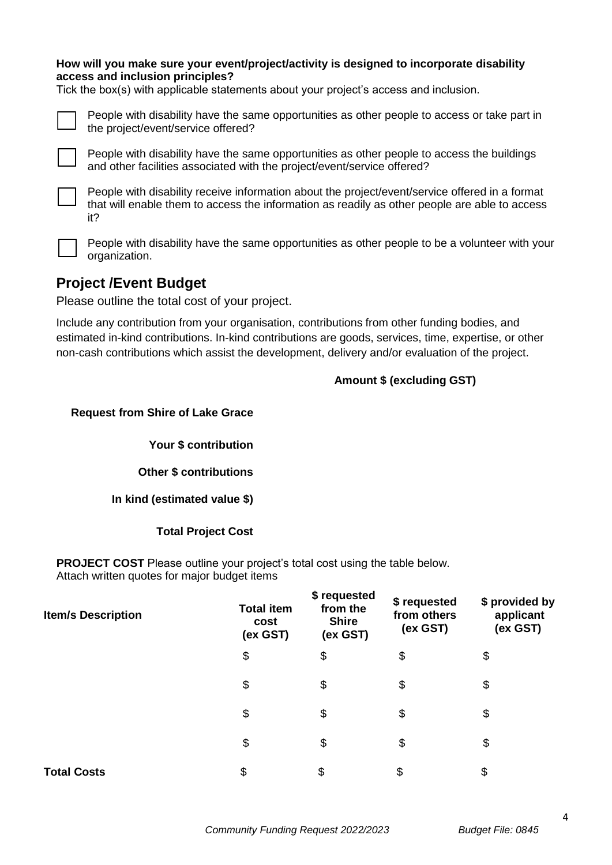#### **How will you make sure your event/project/activity is designed to incorporate disability access and inclusion principles?**

Tick the box(s) with applicable statements about your project's access and inclusion.



People with disability have the same opportunities as other people to access or take part in the project/event/service offered?



People with disability have the same opportunities as other people to access the buildings and other facilities associated with the project/event/service offered?



People with disability receive information about the project/event/service offered in a format that will enable them to access the information as readily as other people are able to access it?



People with disability have the same opportunities as other people to be a volunteer with your organization.

## **Project /Event Budget**

Please outline the total cost of your project.

Include any contribution from your organisation, contributions from other funding bodies, and estimated in-kind contributions. In-kind contributions are goods, services, time, expertise, or other non-cash contributions which assist the development, delivery and/or evaluation of the project.

#### **Amount \$ (excluding GST)**

**Request from Shire of Lake Grace**

**Your \$ contribution**

**Other \$ contributions**

**In kind (estimated value \$)**

#### **Total Project Cost**

**PROJECT COST** Please outline your project's total cost using the table below. Attach written quotes for major budget items

| <b>Item/s Description</b> | <b>Total item</b><br>cost<br>(ex GST) | \$ requested<br>from the<br><b>Shire</b><br>(ex GST) | \$ requested<br>from others<br>(ex GST) | \$ provided by<br>applicant<br>(ex GST) |
|---------------------------|---------------------------------------|------------------------------------------------------|-----------------------------------------|-----------------------------------------|
|                           | \$                                    | \$                                                   | \$                                      | \$                                      |
|                           | \$                                    | \$                                                   | \$                                      | \$                                      |
|                           | \$                                    | \$                                                   | \$                                      | \$                                      |
|                           | \$                                    | \$                                                   | \$                                      | \$                                      |
| <b>Total Costs</b>        | \$                                    | \$                                                   | \$                                      | \$                                      |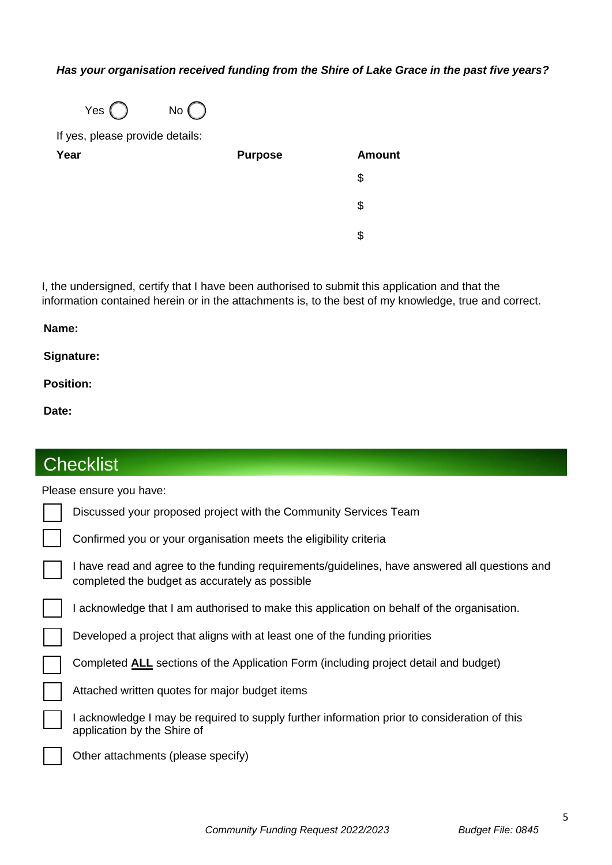#### *Has your organisation received funding from the Shire of Lake Grace in the past five years?*



If yes, please provide details:

| Year | <b>Purpose</b> | <b>Amount</b> |
|------|----------------|---------------|
|      |                | \$            |
|      |                | \$            |
|      |                | S             |

I, the undersigned, certify that I have been authorised to submit this application and that the information contained herein or in the attachments is, to the best of my knowledge, true and correct.

#### **Name:**

#### **Signature:**

**Position:** 

**Date:** 

| <b>Checklist</b>        |                                                                                                                                                 |  |  |  |
|-------------------------|-------------------------------------------------------------------------------------------------------------------------------------------------|--|--|--|
| Please ensure you have: |                                                                                                                                                 |  |  |  |
|                         | Discussed your proposed project with the Community Services Team                                                                                |  |  |  |
|                         | Confirmed you or your organisation meets the eligibility criteria                                                                               |  |  |  |
|                         | I have read and agree to the funding requirements/guidelines, have answered all questions and<br>completed the budget as accurately as possible |  |  |  |
|                         | I acknowledge that I am authorised to make this application on behalf of the organisation.                                                      |  |  |  |
|                         | Developed a project that aligns with at least one of the funding priorities                                                                     |  |  |  |
|                         | Completed ALL sections of the Application Form (including project detail and budget)                                                            |  |  |  |
|                         | Attached written quotes for major budget items                                                                                                  |  |  |  |
|                         | I acknowledge I may be required to supply further information prior to consideration of this<br>application by the Shire of                     |  |  |  |
|                         | Other attachments (please specify)                                                                                                              |  |  |  |